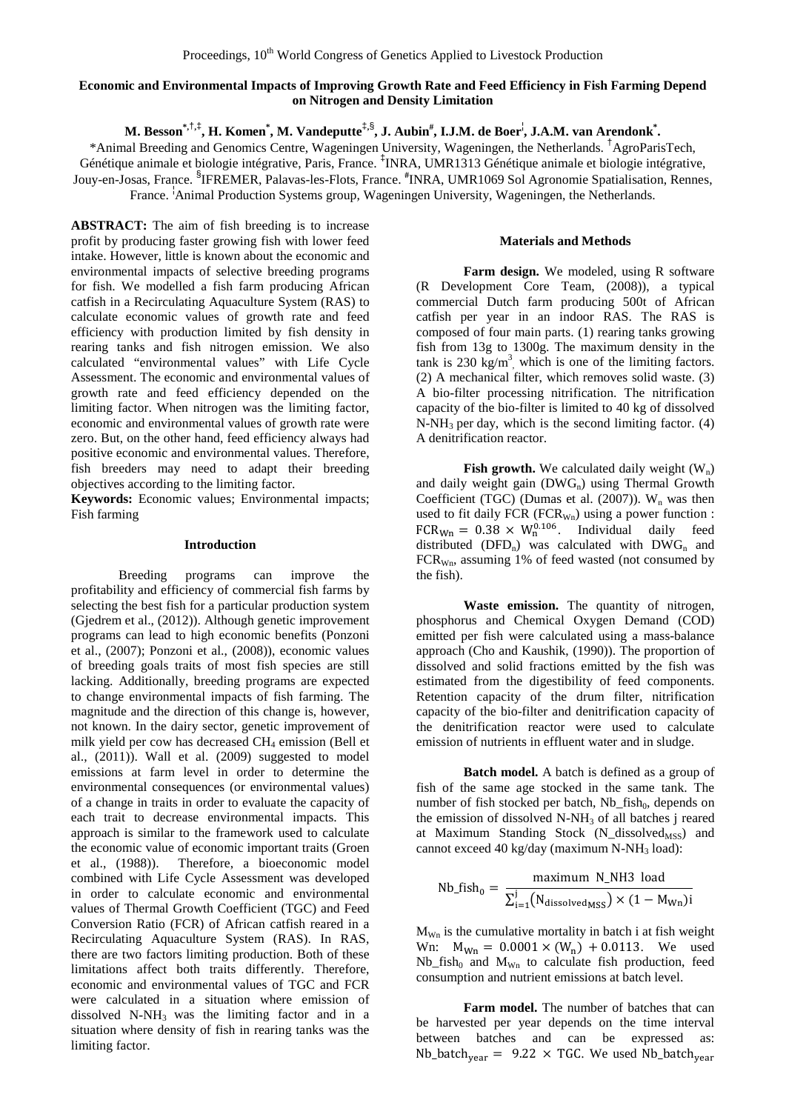# **Economic and Environmental Impacts of Improving Growth Rate and Feed Efficiency in Fish Farming Depend on Nitrogen and Density Limitation**

**M. Besson\*,**†**,**‡ **, H. Komen\* , M. Vandeputte**‡**,**§ **, J. Aubin# , I.J.M. de Boer**¦ **, J.A.M. van Arendonk\* .**

\*Animal Breeding and Genomics Centre, Wageningen University, Wageningen, the Netherlands. † AgroParisTech, Génétique animale et biologie intégrative, Paris, France. ‡ INRA, UMR1313 Génétique animale et biologie intégrative, Jouy-en-Josas, France. § IFREMER, Palavas-les-Flots, France. **#** INRA, UMR1069 Sol Agronomie Spatialisation, Rennes, France. <sup>1</sup>Animal Production Systems group, Wageningen University, Wageningen, the Netherlands.

**ABSTRACT:** The aim of fish breeding is to increase profit by producing faster growing fish with lower feed intake. However, little is known about the economic and environmental impacts of selective breeding programs for fish. We modelled a fish farm producing African catfish in a Recirculating Aquaculture System (RAS) to calculate economic values of growth rate and feed efficiency with production limited by fish density in rearing tanks and fish nitrogen emission. We also calculated "environmental values" with Life Cycle Assessment. The economic and environmental values of growth rate and feed efficiency depended on the limiting factor. When nitrogen was the limiting factor, economic and environmental values of growth rate were zero. But, on the other hand, feed efficiency always had positive economic and environmental values. Therefore, fish breeders may need to adapt their breeding objectives according to the limiting factor.

**Keywords:** Economic values; Environmental impacts; Fish farming

### **Introduction**

Breeding programs can improve the profitability and efficiency of commercial fish farms by selecting the best fish for a particular production system [\(Gjedrem et al., \(2012\)](#page-2-0)). Although genetic improvement programs can lead to high economic benefits [\(Ponzoni](#page-2-1)  [et al., \(2007\)](#page-2-1); [Ponzoni et al., \(2008\)](#page-2-2)), economic values of breeding goals traits of most fish species are still lacking. Additionally, breeding programs are expected to change environmental impacts of fish farming. The magnitude and the direction of this change is, however, not known. In the dairy sector, genetic improvement of milk yield per cow has decreased CH<sub>4</sub> emission (Bell et [al., \(2011\)](#page-2-3)). Wall et al. (2009) suggested to model emissions at farm level in order to determine the environmental consequences (or environmental values) of a change in traits in order to evaluate the capacity of each trait to decrease environmental impacts. This approach is similar to the framework used to calculate the economic value of economic important traits (Groen et al., (1988)). Therefore, a bioeconomic model combined with Life Cycle Assessment was developed in order to calculate economic and environmental values of Thermal Growth Coefficient (TGC) and Feed Conversion Ratio (FCR) of African catfish reared in a Recirculating Aquaculture System (RAS). In RAS, there are two factors limiting production. Both of these limitations affect both traits differently. Therefore, economic and environmental values of TGC and FCR were calculated in a situation where emission of dissolved N-NH3 was the limiting factor and in a situation where density of fish in rearing tanks was the limiting factor.

## **Materials and Methods**

**Farm design.** We modeled, using R software [\(R Development Core Team, \(2008\)](#page-2-4)), a typical commercial Dutch farm producing 500t of African catfish per year in an indoor RAS. The RAS is composed of four main parts. (1) rearing tanks growing fish from 13g to 1300g. The maximum density in the tank is 230  $\text{kg/m}^3$ , which is one of the limiting factors. (2) A mechanical filter, which removes solid waste. (3) A bio-filter processing nitrification. The nitrification capacity of the bio-filter is limited to 40 kg of dissolved  $N-NH_3$  per day, which is the second limiting factor. (4) A denitrification reactor.

**Fish growth.** We calculated daily weight  $(W_n)$ and daily weight gain  $(DWG_n)$  using Thermal Growth Coefficient (TGC) (Dumas et al.  $(2007)$ ). W<sub>n</sub> was then used to fit daily FCR (FCR $_{Wn}$ ) using a power function :  $FCR_{Wn} = 0.38 \times W_n^{0.106}$ . Individual daily feed distributed (DFD<sub>n</sub>) was calculated with  $DWG_n$  and FCRWn, assuming 1% of feed wasted (not consumed by the fish).

Waste emission. The quantity of nitrogen, phosphorus and Chemical Oxygen Demand (COD) emitted per fish were calculated using a mass-balance approach [\(Cho and Kaushik, \(1990\)](#page-2-6)). The proportion of dissolved and solid fractions emitted by the fish was estimated from the digestibility of feed components. Retention capacity of the drum filter, nitrification capacity of the bio-filter and denitrification capacity of the denitrification reactor were used to calculate emission of nutrients in effluent water and in sludge.

**Batch model.** A batch is defined as a group of fish of the same age stocked in the same tank. The number of fish stocked per batch, Nb  $fish<sub>0</sub>$ , depends on the emission of dissolved  $N-NH<sub>3</sub>$  of all batches j reared at Maximum Standing Stock (N dissolved<sub>MSS</sub>) and cannot exceed 40 kg/day (maximum  $N-NH_3$  load):

Nb\_fish<sub>0</sub> = 
$$
\frac{\text{maximum N_NH3 load}}{\sum_{i=1}^{j} (N_{\text{dissolved MSS}}) \times (1 - M_{Wn})i}
$$

 $M_{Wn}$  is the cumulative mortality in batch i at fish weight Wn:  $M_{Wn} = 0.0001 \times (W_n) + 0.0113$ . We used Nb fish<sub>0</sub> and  $M_{Wn}$  to calculate fish production, feed consumption and nutrient emissions at batch level.

**Farm model.** The number of batches that can be harvested per year depends on the time interval between batches and can be expressed as: Nb\_batch<sub>vear</sub> = 9.22  $\times$  TGC. We used Nb\_batch<sub>vear</sub>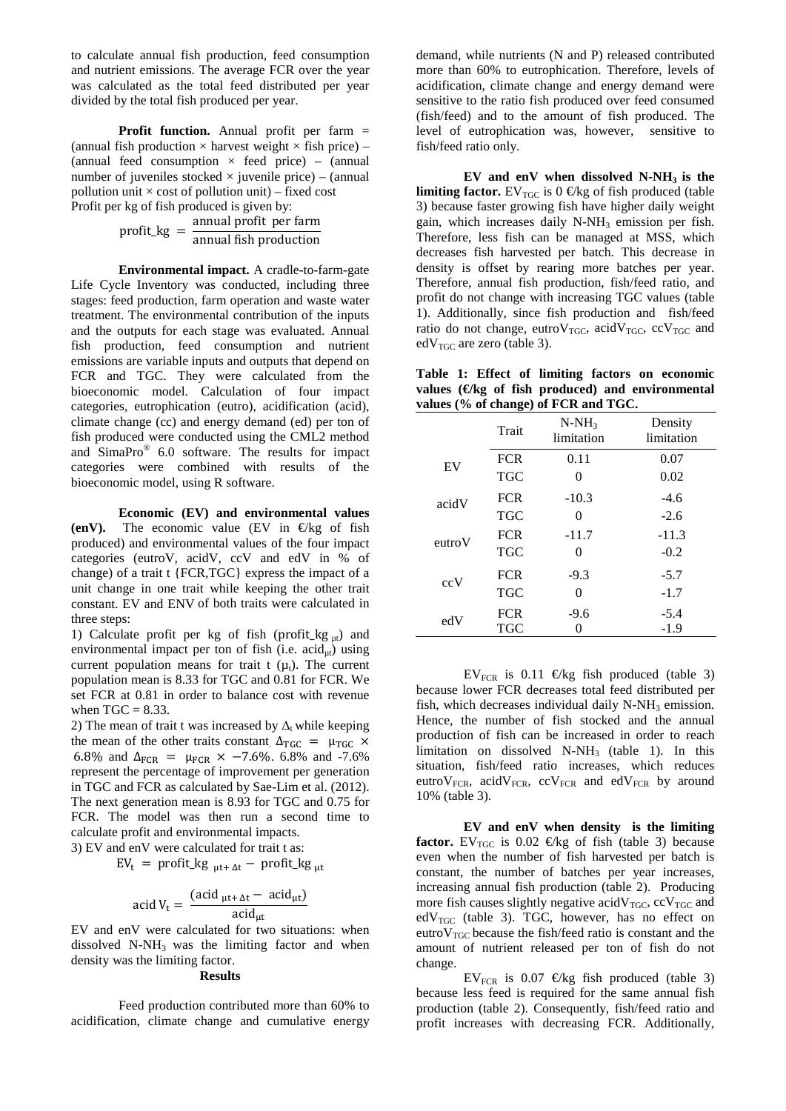to calculate annual fish production, feed consumption and nutrient emissions. The average FCR over the year was calculated as the total feed distributed per year divided by the total fish produced per year.

**Profit function.** Annual profit per farm = (annual fish production  $\times$  harvest weight  $\times$  fish price) – (annual feed consumption  $\times$  feed price) – (annual number of juveniles stocked  $\times$  juvenile price) – (annual pollution unit  $\times$  cost of pollution unit) – fixed cost Profit per kg of fish produced is given by:

 $profit\_kg = \frac{annual\ profit\ per\ farm}{annual\ fish\ production}$ 

**Environmental impact.** A cradle-to-farm-gate Life Cycle Inventory was conducted, including three stages: feed production, farm operation and waste water treatment. The environmental contribution of the inputs and the outputs for each stage was evaluated. Annual fish production, feed consumption and nutrient emissions are variable inputs and outputs that depend on FCR and TGC. They were calculated from the bioeconomic model. Calculation of four impact categories, eutrophication (eutro), acidification (acid), climate change (cc) and energy demand (ed) per ton of fish produced were conducted using the CML2 method and SimaPro<sup>®</sup> 6.0 software. The results for impact categories were combined with results of the bioeconomic model, using R software.

**Economic (EV) and environmental values** (enV). The economic value (EV in  $\Theta$ kg of fish produced) and environmental values of the four impact categories (eutroV, acidV, ccV and edV in % of change) of a trait t {FCR,TGC} express the impact of a unit change in one trait while keeping the other trait constant. EV and ENV of both traits were calculated in three steps:

1) Calculate profit per kg of fish (profit\_kg  $_{\text{ut}}$ ) and environmental impact per ton of fish (i.e.  $\arctan u$ ) using current population means for trait t  $(\mu_t)$ . The current population mean is 8.33 for TGC and 0.81 for FCR. We set FCR at 0.81 in order to balance cost with revenue when  $TGC = 8.33$ .

2) The mean of trait t was increased by  $\Delta_t$  while keeping the mean of the other traits constant.  $\Delta_{\text{TGC}} = \mu_{\text{TGC}} \times$ 6.8% and  $\Delta_{FCR}$  =  $\mu_{FCR}$  × -7.6%. 6.8% and -7.6% represent the percentage of improvement per generation in TGC and FCR as calculated b[y Sae-Lim et al. \(2012\)](#page-2-7). The next generation mean is 8.93 for TGC and 0.75 for FCR. The model was then run a second time to calculate profit and environmental impacts.

3) EV and enV were calculated for trait t as:

 $EV_t$  = profit\_kg  $_{ut+ \Delta t}$  – profit\_kg  $_{ut}$ 

$$
acid V_t = \frac{(acid_{\mu t + \Delta t} - acid_{\mu t})}{acid_{\mu t}}
$$

EV and enV were calculated for two situations: when dissolved  $N-NH_3$  was the limiting factor and when density was the limiting factor.

#### **Results**

Feed production contributed more than 60% to acidification, climate change and cumulative energy

demand, while nutrients (N and P) released contributed more than 60% to eutrophication. Therefore, levels of acidification, climate change and energy demand were sensitive to the ratio fish produced over feed consumed (fish/feed) and to the amount of fish produced. The level of eutrophication was, however, sensitive to fish/feed ratio only.

**EV and enV when dissolved N-NH3 is the limiting factor.** EV<sub>TGC</sub> is  $0 \in \mathbb{R}$  and fish produced (table 3) because faster growing fish have higher daily weight gain, which increases daily  $N-NH_3$  emission per fish. Therefore, less fish can be managed at MSS, which decreases fish harvested per batch. This decrease in density is offset by rearing more batches per year. Therefore, annual fish production, fish/feed ratio, and profit do not change with increasing TGC values (table 1). Additionally, since fish production and fish/feed ratio do not change, eutro $V_{TGC}$ , acid $V_{TGC}$ , cc $V_{TGC}$  and  $edV_{TGC}$  are zero (table 3).

**Table 1: Effect of limiting factors on economic values (€/kg of fish produced) and environmental values (% of change) of FCR and TGC.**

|              | Trait      | $N-NH_3$<br>limitation | Density<br>limitation |
|--------------|------------|------------------------|-----------------------|
| EV           | <b>FCR</b> | 0.11                   | 0.07                  |
|              | <b>TGC</b> | $\mathcal{O}$          | 0.02                  |
| acidV        | <b>FCR</b> | $-10.3$                | $-4.6$                |
|              | <b>TGC</b> | 0                      | $-2.6$                |
| $e$ utro $V$ | <b>FCR</b> | $-11.7$                | $-11.3$               |
|              | <b>TGC</b> | 0                      | $-0.2$                |
| ccV          | <b>FCR</b> | $-9.3$                 | $-5.7$                |
|              | <b>TGC</b> | 0                      | $-1.7$                |
| edV          | <b>FCR</b> | $-9.6$                 | $-5.4$                |
|              | <b>TGC</b> |                        | $-1.9$                |

EV<sub>FCR</sub> is 0.11  $\Theta$ kg fish produced (table 3) because lower FCR decreases total feed distributed per fish, which decreases individual daily  $N-NH_3$  emission. Hence, the number of fish stocked and the annual production of fish can be increased in order to reach limitation on dissolved  $N-NH_3$  (table 1). In this situation, fish/feed ratio increases, which reduces eutro $V_{FCR}$ , acid $V_{FCR}$ , cc $V_{FCR}$  and ed $V_{FCR}$  by around 10% (table 3).

**EV and enV when density is the limiting factor.** EV<sub>TGC</sub> is 0.02  $\epsilon$ kg of fish (table 3) because even when the number of fish harvested per batch is constant, the number of batches per year increases, increasing annual fish production (table 2). Producing more fish causes slightly negative acid $V_{TGC}$ , cc $V_{TGC}$  and  $edV_{TGC}$  (table 3). TGC, however, has no effect on eutro $V_{TGC}$  because the fish/feed ratio is constant and the amount of nutrient released per ton of fish do not change.

EV<sub>FCR</sub> is 0.07  $\oplus$ kg fish produced (table 3) because less feed is required for the same annual fish production (table 2). Consequently, fish/feed ratio and profit increases with decreasing FCR. Additionally,